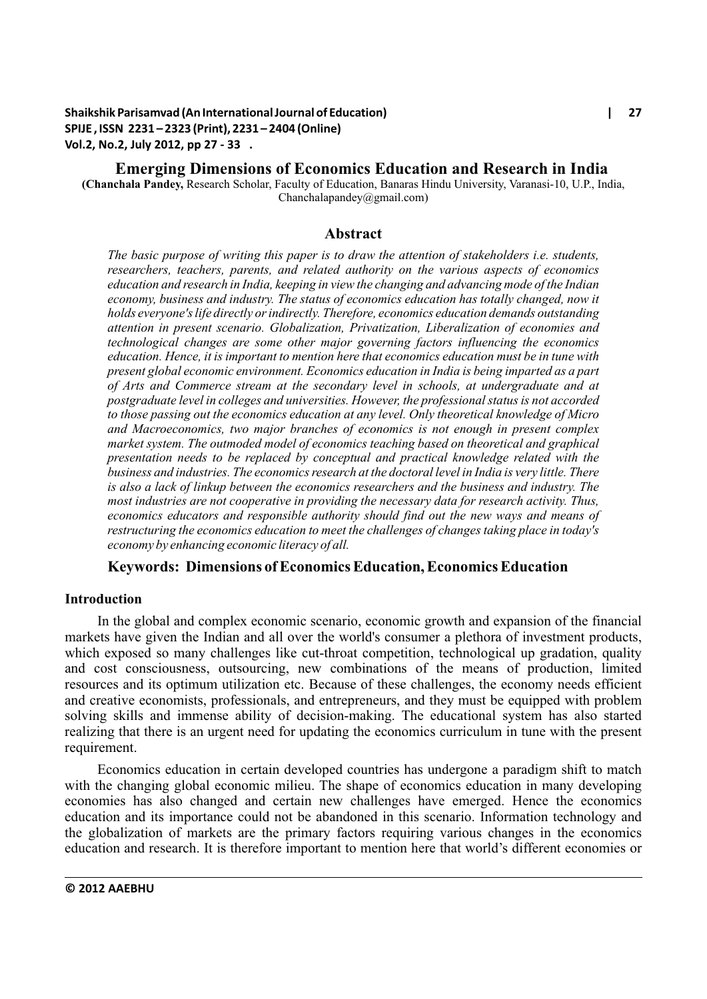**Shaikshik Parisamvad (An International Journal of Education) | 27 SPIJE , ISSN 2231 – 2323 (Print), 2231 – 2404 (Online) Vol.2, No.2, July 2012, pp 27 - 33 .**

 **Emerging Dimensions of Economics Education and Research in India (Chanchala Pandey,** Research Scholar, Faculty of Education, Banaras Hindu University, Varanasi-10, U.P., India, Chanchalapandey@gmail.com)

## **Abstract**

*The basic purpose of writing this paper is to draw the attention of stakeholders i.e. students, researchers, teachers, parents, and related authority on the various aspects of economics education and research in India, keeping in view the changing and advancing mode of the Indian economy, business and industry. The status of economics education has totally changed, now it holds everyone's life directly or indirectly. Therefore, economics education demands outstanding attention in present scenario. Globalization, Privatization, Liberalization of economies and technological changes are some other major governing factors influencing the economics education. Hence, it is important to mention here that economics education must be in tune with present global economic environment. Economics education in India is being imparted as a part of Arts and Commerce stream at the secondary level in schools, at undergraduate and at postgraduate level in colleges and universities. However, the professional status is not accorded to those passing out the economics education at any level. Only theoretical knowledge of Micro and Macroeconomics, two major branches of economics is not enough in present complex market system. The outmoded model of economics teaching based on theoretical and graphical presentation needs to be replaced by conceptual and practical knowledge related with the business and industries. The economics research at the doctoral level in India is very little. There is also a lack of linkup between the economics researchers and the business and industry. The most industries are not cooperative in providing the necessary data for research activity. Thus, economics educators and responsible authority should find out the new ways and means of restructuring the economics education to meet the challenges of changes taking place in today's economy by enhancing economic literacy of all.* 

## **Keywords: Dimensions of Economics Education, Economics Education**

#### **Introduction**

In the global and complex economic scenario, economic growth and expansion of the financial markets have given the Indian and all over the world's consumer a plethora of investment products, which exposed so many challenges like cut-throat competition, technological up gradation, quality and cost consciousness, outsourcing, new combinations of the means of production, limited resources and its optimum utilization etc. Because of these challenges, the economy needs efficient and creative economists, professionals, and entrepreneurs, and they must be equipped with problem solving skills and immense ability of decision-making. The educational system has also started realizing that there is an urgent need for updating the economics curriculum in tune with the present requirement.

Economics education in certain developed countries has undergone a paradigm shift to match with the changing global economic milieu. The shape of economics education in many developing economies has also changed and certain new challenges have emerged. Hence the economics education and its importance could not be abandoned in this scenario. Information technology and the globalization of markets are the primary factors requiring various changes in the economics education and research. It is therefore important to mention here that world's different economies or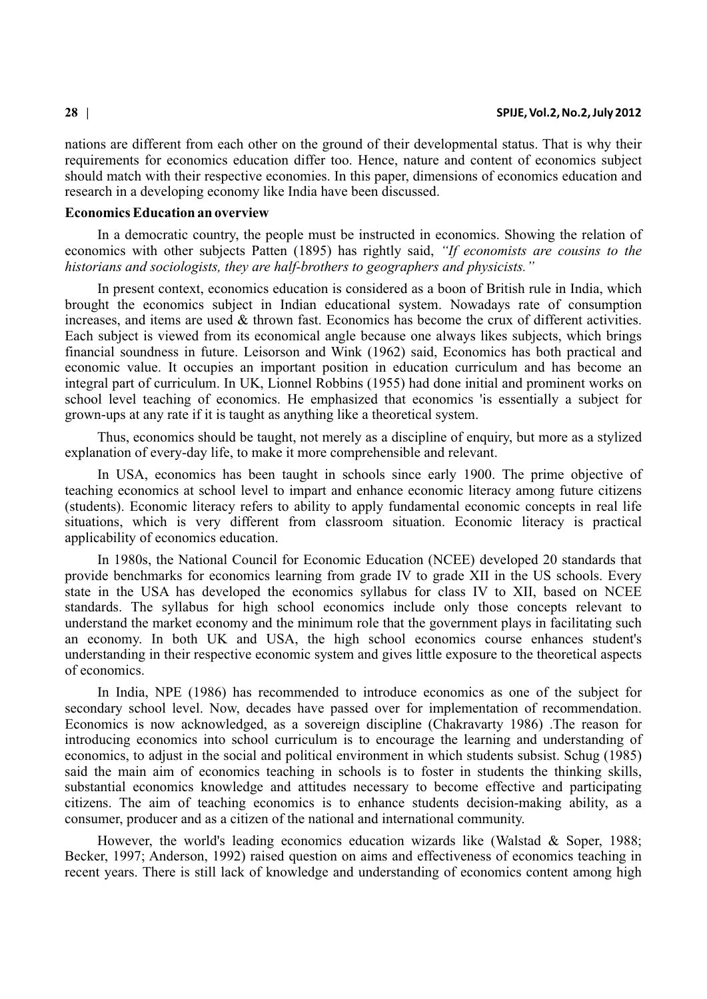nations are different from each other on the ground of their developmental status. That is why their requirements for economics education differ too. Hence, nature and content of economics subject should match with their respective economies. In this paper, dimensions of economics education and research in a developing economy like India have been discussed.

### **Economics Education an overview**

In a democratic country, the people must be instructed in economics. Showing the relation of economics with other subjects Patten (1895) has rightly said, *"If economists are cousins to the historians and sociologists, they are half-brothers to geographers and physicists."*

In present context, economics education is considered as a boon of British rule in India, which brought the economics subject in Indian educational system. Nowadays rate of consumption increases, and items are used  $&$  thrown fast. Economics has become the crux of different activities. Each subject is viewed from its economical angle because one always likes subjects, which brings financial soundness in future. Leisorson and Wink (1962) said, Economics has both practical and economic value. It occupies an important position in education curriculum and has become an integral part of curriculum. In UK, Lionnel Robbins (1955) had done initial and prominent works on school level teaching of economics. He emphasized that economics 'is essentially a subject for grown-ups at any rate if it is taught as anything like a theoretical system.

Thus, economics should be taught, not merely as a discipline of enquiry, but more as a stylized explanation of every-day life, to make it more comprehensible and relevant.

In USA, economics has been taught in schools since early 1900. The prime objective of teaching economics at school level to impart and enhance economic literacy among future citizens (students). Economic literacy refers to ability to apply fundamental economic concepts in real life situations, which is very different from classroom situation. Economic literacy is practical applicability of economics education.

In 1980s, the National Council for Economic Education (NCEE) developed 20 standards that provide benchmarks for economics learning from grade IV to grade XII in the US schools. Every state in the USA has developed the economics syllabus for class IV to XII, based on NCEE standards. The syllabus for high school economics include only those concepts relevant to understand the market economy and the minimum role that the government plays in facilitating such an economy. In both UK and USA, the high school economics course enhances student's understanding in their respective economic system and gives little exposure to the theoretical aspects of economics.

In India, NPE (1986) has recommended to introduce economics as one of the subject for secondary school level. Now, decades have passed over for implementation of recommendation. Economics is now acknowledged, as a sovereign discipline (Chakravarty 1986) .The reason for introducing economics into school curriculum is to encourage the learning and understanding of economics, to adjust in the social and political environment in which students subsist. Schug (1985) said the main aim of economics teaching in schools is to foster in students the thinking skills, substantial economics knowledge and attitudes necessary to become effective and participating citizens. The aim of teaching economics is to enhance students decision-making ability, as a consumer, producer and as a citizen of the national and international community.

However, the world's leading economics education wizards like (Walstad & Soper, 1988; Becker, 1997; Anderson, 1992) raised question on aims and effectiveness of economics teaching in recent years. There is still lack of knowledge and understanding of economics content among high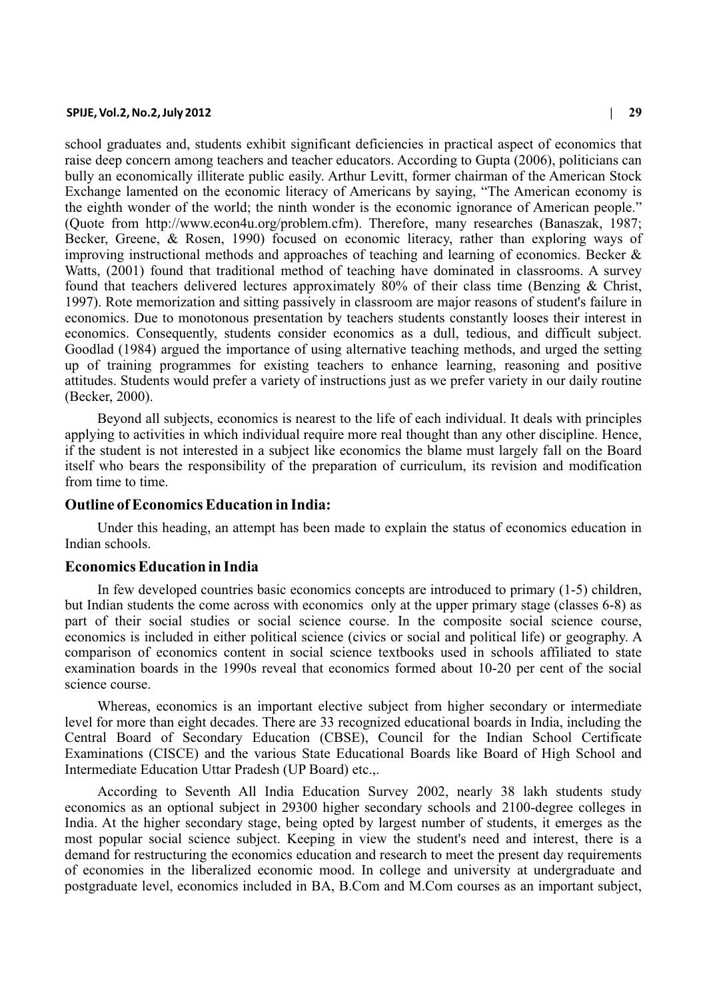## **SPIJE, Vol.2, No.2, July 2012 | 29**

school graduates and, students exhibit significant deficiencies in practical aspect of economics that raise deep concern among teachers and teacher educators. According to Gupta (2006), politicians can bully an economically illiterate public easily. Arthur Levitt, former chairman of the American Stock Exchange lamented on the economic literacy of Americans by saying, "The American economy is the eighth wonder of the world; the ninth wonder is the economic ignorance of American people." (Quote from http://www.econ4u.org/problem.cfm). Therefore, many researches (Banaszak, 1987; Becker, Greene, & Rosen, 1990) focused on economic literacy, rather than exploring ways of improving instructional methods and approaches of teaching and learning of economics. Becker & Watts, (2001) found that traditional method of teaching have dominated in classrooms. A survey found that teachers delivered lectures approximately 80% of their class time (Benzing & Christ, 1997). Rote memorization and sitting passively in classroom are major reasons of student's failure in economics. Due to monotonous presentation by teachers students constantly looses their interest in economics. Consequently, students consider economics as a dull, tedious, and difficult subject. Goodlad (1984) argued the importance of using alternative teaching methods, and urged the setting up of training programmes for existing teachers to enhance learning, reasoning and positive attitudes. Students would prefer a variety of instructions just as we prefer variety in our daily routine (Becker, 2000).

Beyond all subjects, economics is nearest to the life of each individual. It deals with principles applying to activities in which individual require more real thought than any other discipline. Hence, if the student is not interested in a subject like economics the blame must largely fall on the Board itself who bears the responsibility of the preparation of curriculum, its revision and modification from time to time.

## **Outline of Economics Education in India:**

Under this heading, an attempt has been made to explain the status of economics education in Indian schools.

## **Economics Education in India**

In few developed countries basic economics concepts are introduced to primary (1-5) children, but Indian students the come across with economics only at the upper primary stage (classes 6-8) as part of their social studies or social science course. In the composite social science course, economics is included in either political science (civics or social and political life) or geography. A comparison of economics content in social science textbooks used in schools affiliated to state examination boards in the 1990s reveal that economics formed about 10-20 per cent of the social science course.

Whereas, economics is an important elective subject from higher secondary or intermediate level for more than eight decades. There are 33 recognized educational boards in India, including the Central Board of Secondary Education (CBSE), Council for the Indian School Certificate Examinations (CISCE) and the various State Educational Boards like Board of High School and Intermediate Education Uttar Pradesh (UP Board) etc.,.

According to Seventh All India Education Survey 2002, nearly 38 lakh students study economics as an optional subject in 29300 higher secondary schools and 2100-degree colleges in India. At the higher secondary stage, being opted by largest number of students, it emerges as the most popular social science subject. Keeping in view the student's need and interest, there is a demand for restructuring the economics education and research to meet the present day requirements of economies in the liberalized economic mood. In college and university at undergraduate and postgraduate level, economics included in BA, B.Com and M.Com courses as an important subject,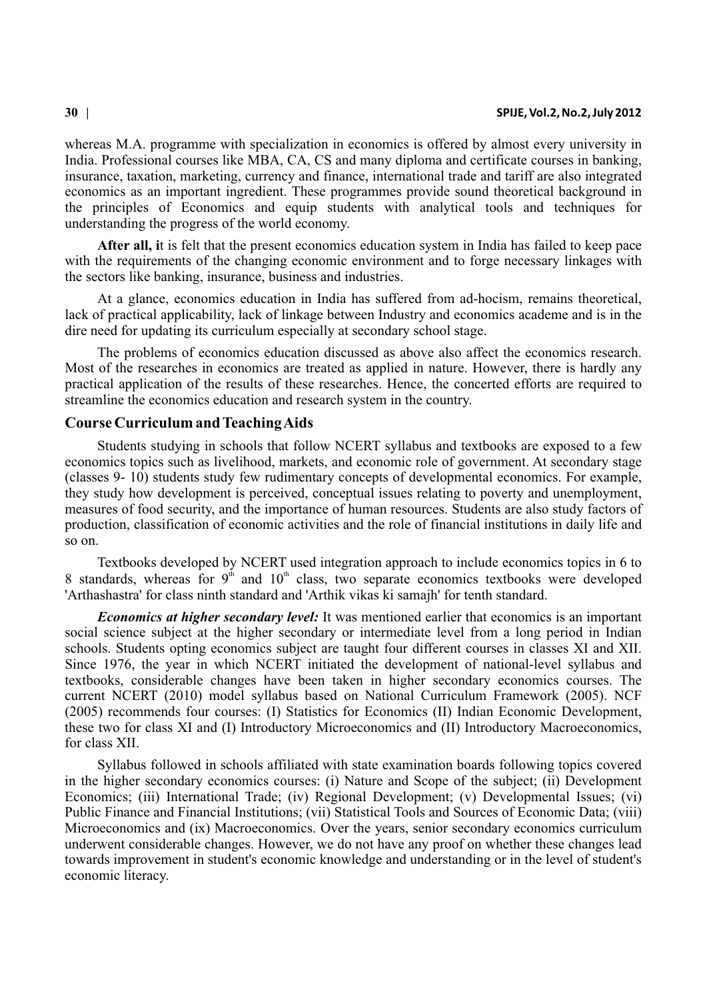whereas M.A. programme with specialization in economics is offered by almost every university in India. Professional courses like MBA, CA, CS and many diploma and certificate courses in banking, insurance, taxation, marketing, currency and finance, international trade and tariff are also integrated economics as an important ingredient. These programmes provide sound theoretical background in the principles of Economics and equip students with analytical tools and techniques for understanding the progress of the world economy.

**After all, i**t is felt that the present economics education system in India has failed to keep pace with the requirements of the changing economic environment and to forge necessary linkages with the sectors like banking, insurance, business and industries.

At a glance, economics education in India has suffered from ad-hocism, remains theoretical, lack of practical applicability, lack of linkage between Industry and economics academe and is in the dire need for updating its curriculum especially at secondary school stage.

The problems of economics education discussed as above also affect the economics research. Most of the researches in economics are treated as applied in nature. However, there is hardly any practical application of the results of these researches. Hence, the concerted efforts are required to streamline the economics education and research system in the country.

## **Course Curriculum and Teaching Aids**

Students studying in schools that follow NCERT syllabus and textbooks are exposed to a few economics topics such as livelihood, markets, and economic role of government. At secondary stage (classes 9- 10) students study few rudimentary concepts of developmental economics. For example, they study how development is perceived, conceptual issues relating to poverty and unemployment, measures of food security, and the importance of human resources. Students are also study factors of production, classification of economic activities and the role of financial institutions in daily life and so on.

Textbooks developed by NCERT used integration approach to include economics topics in 6 to 8 standards, whereas for  $9<sup>th</sup>$  and  $10<sup>th</sup>$  class, two separate economics textbooks were developed 'Arthashastra' for class ninth standard and 'Arthik vikas ki samajh' for tenth standard.

*Economics at higher secondary level:* It was mentioned earlier that economics is an important social science subject at the higher secondary or intermediate level from a long period in Indian schools. Students opting economics subject are taught four different courses in classes XI and XII. Since 1976, the year in which NCERT initiated the development of national-level syllabus and textbooks, considerable changes have been taken in higher secondary economics courses. The current NCERT (2010) model syllabus based on National Curriculum Framework (2005). NCF (2005) recommends four courses: (I) Statistics for Economics (II) Indian Economic Development, these two for class XI and (I) Introductory Microeconomics and (II) Introductory Macroeconomics, for class XII.

Syllabus followed in schools affiliated with state examination boards following topics covered in the higher secondary economics courses: (i) Nature and Scope of the subject; (ii) Development Economics; (iii) International Trade; (iv) Regional Development; (v) Developmental Issues; (vi) Public Finance and Financial Institutions; (vii) Statistical Tools and Sources of Economic Data; (viii) Microeconomics and (ix) Macroeconomics. Over the years, senior secondary economics curriculum underwent considerable changes. However, we do not have any proof on whether these changes lead towards improvement in student's economic knowledge and understanding or in the level of student's economic literacy.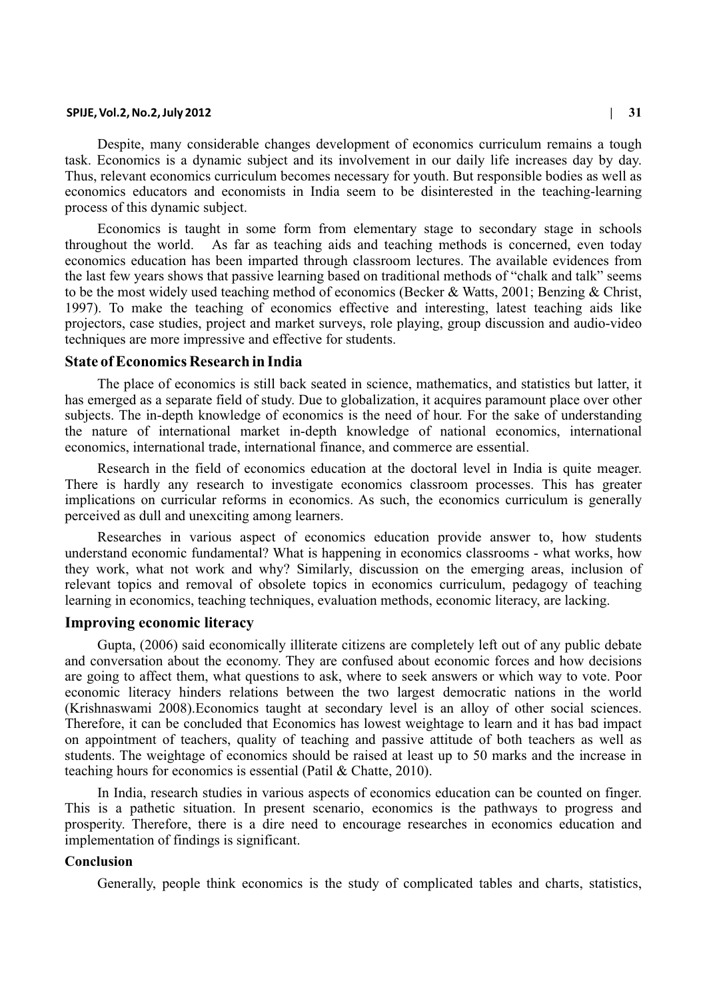#### **SPIJE, Vol.2, No.2, July 2012 | 31**

Despite, many considerable changes development of economics curriculum remains a tough task. Economics is a dynamic subject and its involvement in our daily life increases day by day. Thus, relevant economics curriculum becomes necessary for youth. But responsible bodies as well as economics educators and economists in India seem to be disinterested in the teaching-learning process of this dynamic subject.

Economics is taught in some form from elementary stage to secondary stage in schools throughout the world. As far as teaching aids and teaching methods is concerned, even today economics education has been imparted through classroom lectures. The available evidences from the last few years shows that passive learning based on traditional methods of "chalk and talk" seems to be the most widely used teaching method of economics (Becker & Watts, 2001; Benzing & Christ, 1997). To make the teaching of economics effective and interesting, latest teaching aids like projectors, case studies, project and market surveys, role playing, group discussion and audio-video techniques are more impressive and effective for students.

## **State of Economics Research in India**

The place of economics is still back seated in science, mathematics, and statistics but latter, it has emerged as a separate field of study. Due to globalization, it acquires paramount place over other subjects. The in-depth knowledge of economics is the need of hour. For the sake of understanding the nature of international market in-depth knowledge of national economics, international economics, international trade, international finance, and commerce are essential.

Research in the field of economics education at the doctoral level in India is quite meager. There is hardly any research to investigate economics classroom processes. This has greater implications on curricular reforms in economics. As such, the economics curriculum is generally perceived as dull and unexciting among learners.

Researches in various aspect of economics education provide answer to, how students understand economic fundamental? What is happening in economics classrooms - what works, how they work, what not work and why? Similarly, discussion on the emerging areas, inclusion of relevant topics and removal of obsolete topics in economics curriculum, pedagogy of teaching learning in economics, teaching techniques, evaluation methods, economic literacy, are lacking.

## **Improving economic literacy**

Gupta, (2006) said economically illiterate citizens are completely left out of any public debate and conversation about the economy. They are confused about economic forces and how decisions are going to affect them, what questions to ask, where to seek answers or which way to vote. Poor economic literacy hinders relations between the two largest democratic nations in the world (Krishnaswami 2008).Economics taught at secondary level is an alloy of other social sciences. Therefore, it can be concluded that Economics has lowest weightage to learn and it has bad impact on appointment of teachers, quality of teaching and passive attitude of both teachers as well as students. The weightage of economics should be raised at least up to 50 marks and the increase in teaching hours for economics is essential (Patil & Chatte, 2010).

In India, research studies in various aspects of economics education can be counted on finger. This is a pathetic situation. In present scenario, economics is the pathways to progress and prosperity. Therefore, there is a dire need to encourage researches in economics education and implementation of findings is significant.

## **Conclusion**

Generally, people think economics is the study of complicated tables and charts, statistics,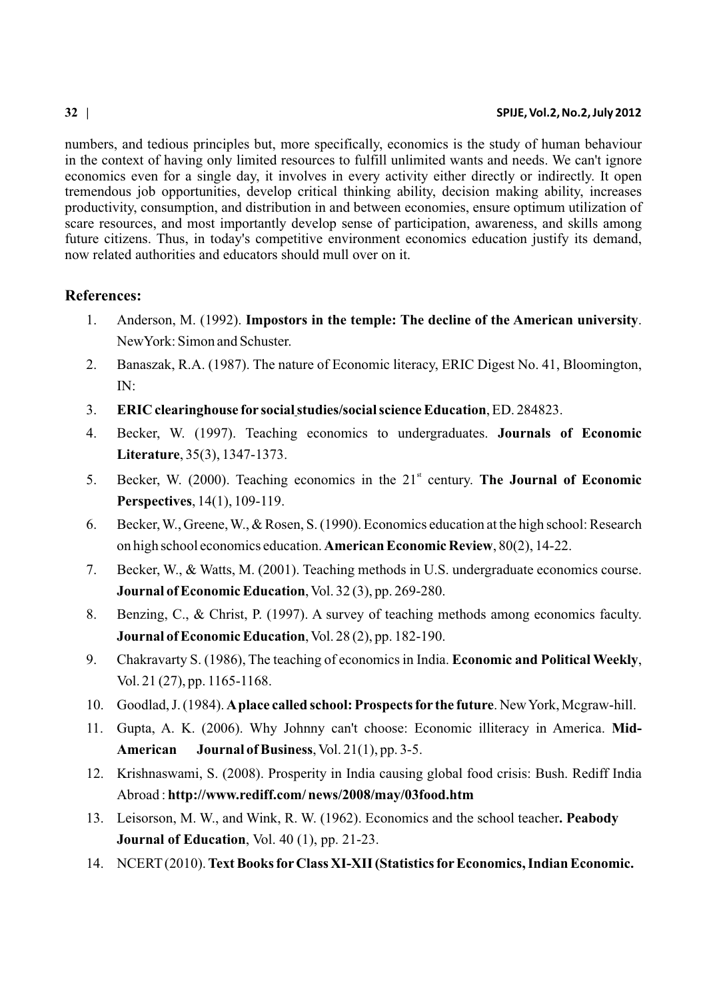numbers, and tedious principles but, more specifically, economics is the study of human behaviour in the context of having only limited resources to fulfill unlimited wants and needs. We can't ignore economics even for a single day, it involves in every activity either directly or indirectly. It open tremendous job opportunities, develop critical thinking ability, decision making ability, increases productivity, consumption, and distribution in and between economies, ensure optimum utilization of scare resources, and most importantly develop sense of participation, awareness, and skills among future citizens. Thus, in today's competitive environment economics education justify its demand, now related authorities and educators should mull over on it.

# **References:**

- 1. Anderson, M. (1992). **Impostors in the temple: The decline of the American university**. NewYork: Simon and Schuster.
- 2. Banaszak, R.A. (1987). The nature of Economic literacy, ERIC Digest No. 41, Bloomington,  $IN<sup>1</sup>$
- 3. **ERIC clearinghouse for social studies/social science Education**, ED. 284823.
- 4. Becker, W. (1997). Teaching economics to undergraduates. **Journals of Economic Literature**, 35(3), 1347-1373.
- 5. Becker, W. (2000). Teaching economics in the 21<sup>st</sup> century. **The Journal of Economic Perspectives**, 14(1), 109-119.
- 6. Becker, W., Greene, W., & Rosen, S. (1990). Economics education at the high school: Research on high school economics education. **American Economic Review**, 80(2), 14-22.
- 7. Becker, W., & Watts, M. (2001). Teaching methods in U.S. undergraduate economics course. **Journal of Economic Education**, Vol. 32 (3), pp. 269-280.
- 8. Benzing, C., & Christ, P. (1997). A survey of teaching methods among economics faculty. **Journal of Economic Education**, Vol. 28 (2), pp. 182-190.
- 9. Chakravarty S. (1986), The teaching of economics in India. **Economic and Political Weekly**, Vol. 21 (27), pp. 1165-1168.
- 10. Goodlad, J. (1984). **Aplace called school: Prospects for the future**. New York, Mcgraw-hill.
- 11. Gupta, A. K. (2006). Why Johnny can't choose: Economic illiteracy in America. **Mid-American Journal of Business**, Vol. 21(1), pp. 3-5.
- 12. Krishnaswami, S. (2008). Prosperity in India causing global food crisis: Bush. Rediff India Abroad : **http://www.rediff.com/ news/2008/may/03food.htm**
- 13. Leisorson, M. W., and Wink, R. W. (1962). Economics and the school teacher**. Peabody Journal of Education**, Vol. 40 (1), pp. 21-23.
- 14. NCERT(2010). **Text Books forClass XI-XII (Statistics forEconomics, Indian Economic.**